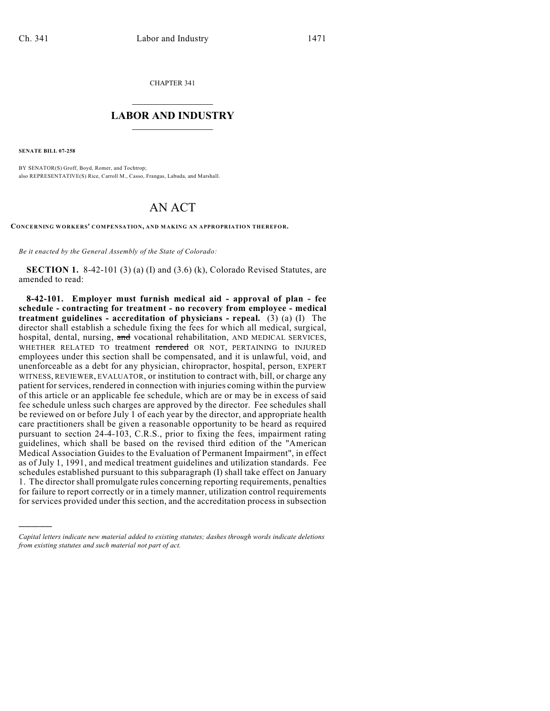CHAPTER 341

## $\overline{\phantom{a}}$  . The set of the set of the set of the set of the set of the set of the set of the set of the set of the set of the set of the set of the set of the set of the set of the set of the set of the set of the set o **LABOR AND INDUSTRY**  $\frac{1}{\sqrt{2}}$  ,  $\frac{1}{\sqrt{2}}$  ,  $\frac{1}{\sqrt{2}}$  ,  $\frac{1}{\sqrt{2}}$  ,  $\frac{1}{\sqrt{2}}$  ,  $\frac{1}{\sqrt{2}}$

**SENATE BILL 07-258**

)))))

BY SENATOR(S) Groff, Boyd, Romer, and Tochtrop; also REPRESENTATIVE(S) Rice, Carroll M., Casso, Frangas, Labuda, and Marshall.

## AN ACT

**CONCERNING WORKERS' COMPENSATION, AND MAKING AN APPROPRIATION THEREFOR.**

*Be it enacted by the General Assembly of the State of Colorado:*

**SECTION 1.** 8-42-101 (3) (a) (I) and (3.6) (k), Colorado Revised Statutes, are amended to read:

**8-42-101. Employer must furnish medical aid - approval of plan - fee schedule - contracting for treatment - no recovery from employee - medical treatment guidelines - accreditation of physicians - repeal.** (3) (a) (I) The director shall establish a schedule fixing the fees for which all medical, surgical, hospital, dental, nursing, and vocational rehabilitation, AND MEDICAL SERVICES, WHETHER RELATED TO treatment rendered OR NOT, PERTAINING to INJURED employees under this section shall be compensated, and it is unlawful, void, and unenforceable as a debt for any physician, chiropractor, hospital, person, EXPERT WITNESS, REVIEWER, EVALUATOR, or institution to contract with, bill, or charge any patient for services, rendered in connection with injuries coming within the purview of this article or an applicable fee schedule, which are or may be in excess of said fee schedule unless such charges are approved by the director. Fee schedules shall be reviewed on or before July 1 of each year by the director, and appropriate health care practitioners shall be given a reasonable opportunity to be heard as required pursuant to section 24-4-103, C.R.S., prior to fixing the fees, impairment rating guidelines, which shall be based on the revised third edition of the "American Medical Association Guides to the Evaluation of Permanent Impairment", in effect as of July 1, 1991, and medical treatment guidelines and utilization standards. Fee schedules established pursuant to this subparagraph (I) shall take effect on January 1. The director shall promulgate rules concerning reporting requirements, penalties for failure to report correctly or in a timely manner, utilization control requirements for services provided under this section, and the accreditation process in subsection

*Capital letters indicate new material added to existing statutes; dashes through words indicate deletions from existing statutes and such material not part of act.*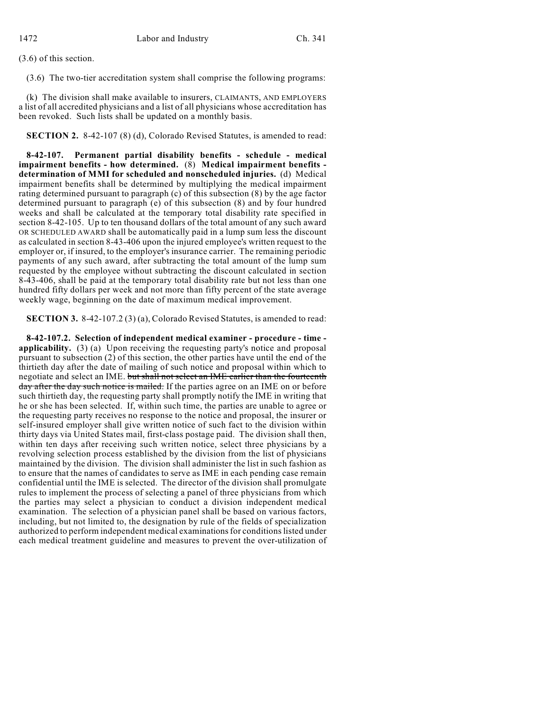(3.6) of this section.

(3.6) The two-tier accreditation system shall comprise the following programs:

(k) The division shall make available to insurers, CLAIMANTS, AND EMPLOYERS a list of all accredited physicians and a list of all physicians whose accreditation has been revoked. Such lists shall be updated on a monthly basis.

**SECTION 2.** 8-42-107 (8) (d), Colorado Revised Statutes, is amended to read:

**8-42-107. Permanent partial disability benefits - schedule - medical impairment benefits - how determined.** (8) **Medical impairment benefits determination of MMI for scheduled and nonscheduled injuries.** (d) Medical impairment benefits shall be determined by multiplying the medical impairment rating determined pursuant to paragraph (c) of this subsection (8) by the age factor determined pursuant to paragraph (e) of this subsection (8) and by four hundred weeks and shall be calculated at the temporary total disability rate specified in section 8-42-105. Up to ten thousand dollars of the total amount of any such award OR SCHEDULED AWARD shall be automatically paid in a lump sum less the discount as calculated in section 8-43-406 upon the injured employee's written request to the employer or, if insured, to the employer's insurance carrier. The remaining periodic payments of any such award, after subtracting the total amount of the lump sum requested by the employee without subtracting the discount calculated in section 8-43-406, shall be paid at the temporary total disability rate but not less than one hundred fifty dollars per week and not more than fifty percent of the state average weekly wage, beginning on the date of maximum medical improvement.

**SECTION 3.** 8-42-107.2 (3) (a), Colorado Revised Statutes, is amended to read:

**8-42-107.2. Selection of independent medical examiner - procedure - time applicability.** (3) (a) Upon receiving the requesting party's notice and proposal pursuant to subsection (2) of this section, the other parties have until the end of the thirtieth day after the date of mailing of such notice and proposal within which to negotiate and select an IME. but shall not select an IME earlier than the fourteenth day after the day such notice is mailed. If the parties agree on an IME on or before such thirtieth day, the requesting party shall promptly notify the IME in writing that he or she has been selected. If, within such time, the parties are unable to agree or the requesting party receives no response to the notice and proposal, the insurer or self-insured employer shall give written notice of such fact to the division within thirty days via United States mail, first-class postage paid. The division shall then, within ten days after receiving such written notice, select three physicians by a revolving selection process established by the division from the list of physicians maintained by the division. The division shall administer the list in such fashion as to ensure that the names of candidates to serve as IME in each pending case remain confidential until the IME is selected. The director of the division shall promulgate rules to implement the process of selecting a panel of three physicians from which the parties may select a physician to conduct a division independent medical examination. The selection of a physician panel shall be based on various factors, including, but not limited to, the designation by rule of the fields of specialization authorized to perform independent medical examinations for conditions listed under each medical treatment guideline and measures to prevent the over-utilization of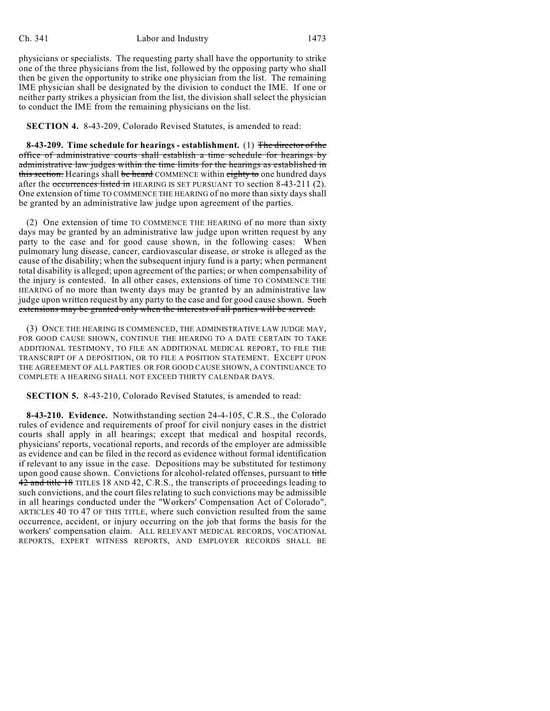## Ch. 341 Labor and Industry 1473

physicians or specialists. The requesting party shall have the opportunity to strike one of the three physicians from the list, followed by the opposing party who shall then be given the opportunity to strike one physician from the list. The remaining IME physician shall be designated by the division to conduct the IME. If one or neither party strikes a physician from the list, the division shall select the physician to conduct the IME from the remaining physicians on the list.

## **SECTION 4.** 8-43-209, Colorado Revised Statutes, is amended to read:

**8-43-209. Time schedule for hearings - establishment.** (1) The director of the office of administrative courts shall establish a time schedule for hearings by administrative law judges within the time limits for the hearings as established in this section. Hearings shall be heard COMMENCE within eighty to one hundred days after the occurrences listed in HEARING IS SET PURSUANT TO section 8-43-211 (2). One extension of time TO COMMENCE THE HEARING of no more than sixty days shall be granted by an administrative law judge upon agreement of the parties.

(2) One extension of time TO COMMENCE THE HEARING of no more than sixty days may be granted by an administrative law judge upon written request by any party to the case and for good cause shown, in the following cases: When pulmonary lung disease, cancer, cardiovascular disease, or stroke is alleged as the cause of the disability; when the subsequent injury fund is a party; when permanent total disability is alleged; upon agreement of the parties; or when compensability of the injury is contested. In all other cases, extensions of time TO COMMENCE THE HEARING of no more than twenty days may be granted by an administrative law judge upon written request by any party to the case and for good cause shown. Such extensions may be granted only when the interests of all parties will be served.

(3) ONCE THE HEARING IS COMMENCED, THE ADMINISTRATIVE LAW JUDGE MAY, FOR GOOD CAUSE SHOWN, CONTINUE THE HEARING TO A DATE CERTAIN TO TAKE ADDITIONAL TESTIMONY, TO FILE AN ADDITIONAL MEDICAL REPORT, TO FILE THE TRANSCRIPT OF A DEPOSITION, OR TO FILE A POSITION STATEMENT. EXCEPT UPON THE AGREEMENT OF ALL PARTIES OR FOR GOOD CAUSE SHOWN, A CONTINUANCE TO COMPLETE A HEARING SHALL NOT EXCEED THIRTY CALENDAR DAYS.

**SECTION 5.** 8-43-210, Colorado Revised Statutes, is amended to read:

**8-43-210. Evidence.** Notwithstanding section 24-4-105, C.R.S., the Colorado rules of evidence and requirements of proof for civil nonjury cases in the district courts shall apply in all hearings; except that medical and hospital records, physicians' reports, vocational reports, and records of the employer are admissible as evidence and can be filed in the record as evidence without formal identification if relevant to any issue in the case. Depositions may be substituted for testimony upon good cause shown. Convictions for alcohol-related offenses, pursuant to title 42 and title 18 TITLES 18 AND 42, C.R.S., the transcripts of proceedings leading to such convictions, and the court files relating to such convictions may be admissible in all hearings conducted under the "Workers' Compensation Act of Colorado", ARTICLES 40 TO 47 OF THIS TITLE, where such conviction resulted from the same occurrence, accident, or injury occurring on the job that forms the basis for the workers' compensation claim. ALL RELEVANT MEDICAL RECORDS, VOCATIONAL REPORTS, EXPERT WITNESS REPORTS, AND EMPLOYER RECORDS SHALL BE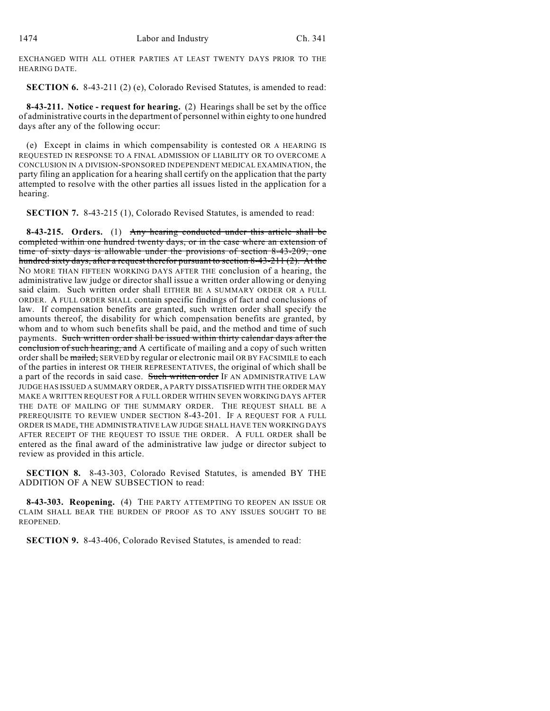EXCHANGED WITH ALL OTHER PARTIES AT LEAST TWENTY DAYS PRIOR TO THE HEARING DATE.

**SECTION 6.** 8-43-211 (2) (e), Colorado Revised Statutes, is amended to read:

**8-43-211. Notice - request for hearing.** (2) Hearings shall be set by the office of administrative courts in the department of personnel within eighty to one hundred days after any of the following occur:

(e) Except in claims in which compensability is contested OR A HEARING IS REQUESTED IN RESPONSE TO A FINAL ADMISSION OF LIABILITY OR TO OVERCOME A CONCLUSION IN A DIVISION-SPONSORED INDEPENDENT MEDICAL EXAMINATION, the party filing an application for a hearing shall certify on the application that the party attempted to resolve with the other parties all issues listed in the application for a hearing.

**SECTION 7.** 8-43-215 (1), Colorado Revised Statutes, is amended to read:

**8-43-215. Orders.** (1) Any hearing conducted under this article shall be completed within one hundred twenty days, or in the case where an extension of time of sixty days is allowable under the provisions of section 8-43-209, one hundred sixty days, after a request therefor pursuant to section 8-43-211 (2). At the NO MORE THAN FIFTEEN WORKING DAYS AFTER THE conclusion of a hearing, the administrative law judge or director shall issue a written order allowing or denying said claim. Such written order shall EITHER BE A SUMMARY ORDER OR A FULL ORDER. A FULL ORDER SHALL contain specific findings of fact and conclusions of law. If compensation benefits are granted, such written order shall specify the amounts thereof, the disability for which compensation benefits are granted, by whom and to whom such benefits shall be paid, and the method and time of such payments. Such written order shall be issued within thirty calendar days after the conclusion of such hearing, and A certificate of mailing and a copy of such written order shall be mailed, SERVED by regular or electronic mail OR BY FACSIMILE to each of the parties in interest OR THEIR REPRESENTATIVES, the original of which shall be a part of the records in said case. Such written order IF AN ADMINISTRATIVE LAW JUDGE HAS ISSUED A SUMMARY ORDER, A PARTY DISSATISFIED WITH THE ORDER MAY MAKE A WRITTEN REQUEST FOR A FULL ORDER WITHIN SEVEN WORKING DAYS AFTER THE DATE OF MAILING OF THE SUMMARY ORDER. THE REQUEST SHALL BE A PREREQUISITE TO REVIEW UNDER SECTION 8-43-201. IF A REQUEST FOR A FULL ORDER IS MADE, THE ADMINISTRATIVE LAW JUDGE SHALL HAVE TEN WORKING DAYS AFTER RECEIPT OF THE REQUEST TO ISSUE THE ORDER. A FULL ORDER shall be entered as the final award of the administrative law judge or director subject to review as provided in this article.

**SECTION 8.** 8-43-303, Colorado Revised Statutes, is amended BY THE ADDITION OF A NEW SUBSECTION to read:

**8-43-303. Reopening.** (4) THE PARTY ATTEMPTING TO REOPEN AN ISSUE OR CLAIM SHALL BEAR THE BURDEN OF PROOF AS TO ANY ISSUES SOUGHT TO BE REOPENED.

**SECTION 9.** 8-43-406, Colorado Revised Statutes, is amended to read: